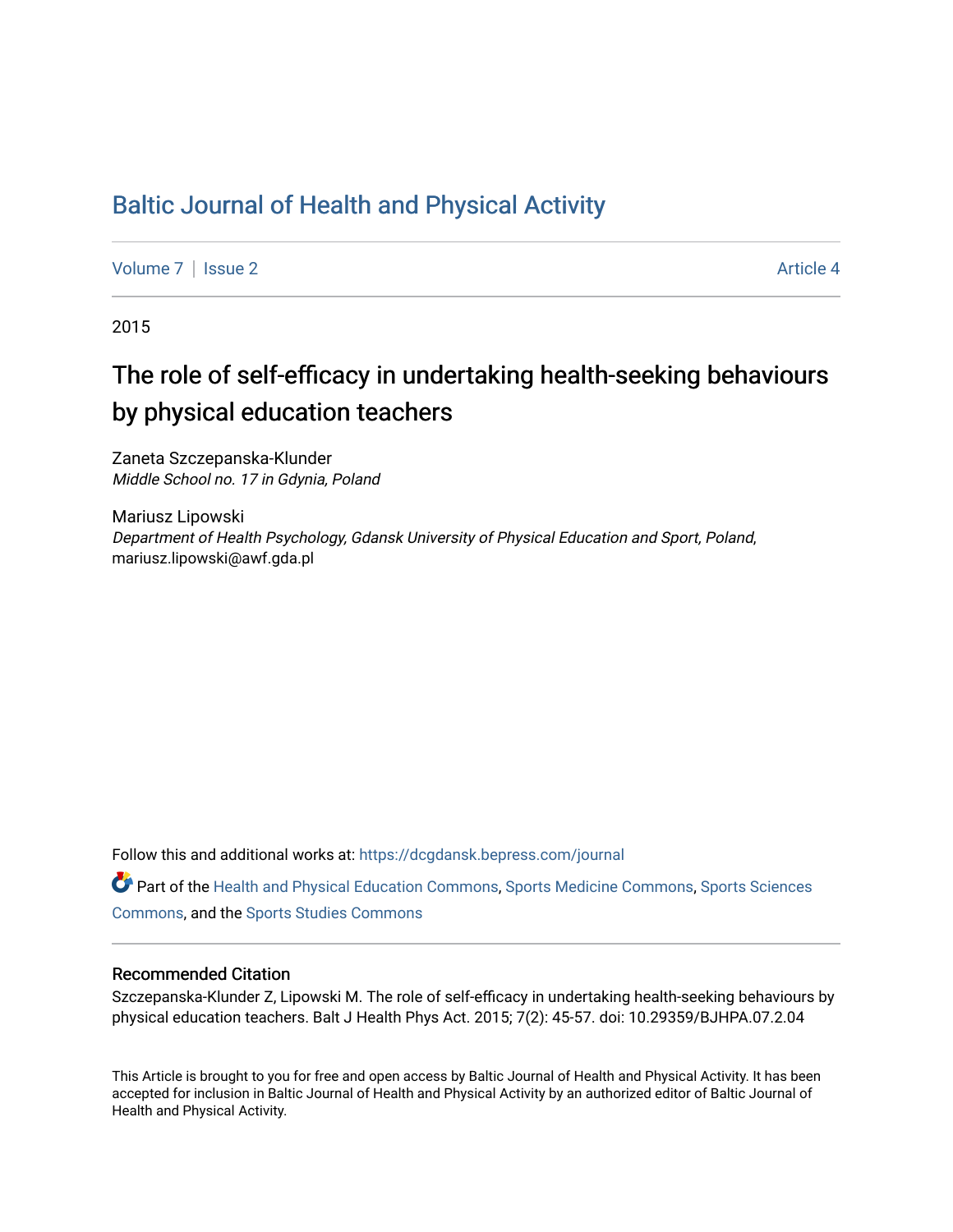## [Baltic Journal of Health and Physical Activity](https://dcgdansk.bepress.com/journal)

[Volume 7](https://dcgdansk.bepress.com/journal/vol7) | [Issue 2](https://dcgdansk.bepress.com/journal/vol7/iss2) Article 4

2015

## The role of self-efficacy in undertaking health-seeking behaviours by physical education teachers

Zaneta Szczepanska-Klunder Middle School no. 17 in Gdynia, Poland

Mariusz Lipowski Department of Health Psychology, Gdansk University of Physical Education and Sport, Poland, mariusz.lipowski@awf.gda.pl

Follow this and additional works at: [https://dcgdansk.bepress.com/journal](https://dcgdansk.bepress.com/journal?utm_source=dcgdansk.bepress.com%2Fjournal%2Fvol7%2Fiss2%2F4&utm_medium=PDF&utm_campaign=PDFCoverPages)

Part of the [Health and Physical Education Commons](http://network.bepress.com/hgg/discipline/1327?utm_source=dcgdansk.bepress.com%2Fjournal%2Fvol7%2Fiss2%2F4&utm_medium=PDF&utm_campaign=PDFCoverPages), [Sports Medicine Commons,](http://network.bepress.com/hgg/discipline/1331?utm_source=dcgdansk.bepress.com%2Fjournal%2Fvol7%2Fiss2%2F4&utm_medium=PDF&utm_campaign=PDFCoverPages) [Sports Sciences](http://network.bepress.com/hgg/discipline/759?utm_source=dcgdansk.bepress.com%2Fjournal%2Fvol7%2Fiss2%2F4&utm_medium=PDF&utm_campaign=PDFCoverPages) [Commons](http://network.bepress.com/hgg/discipline/759?utm_source=dcgdansk.bepress.com%2Fjournal%2Fvol7%2Fiss2%2F4&utm_medium=PDF&utm_campaign=PDFCoverPages), and the [Sports Studies Commons](http://network.bepress.com/hgg/discipline/1198?utm_source=dcgdansk.bepress.com%2Fjournal%2Fvol7%2Fiss2%2F4&utm_medium=PDF&utm_campaign=PDFCoverPages) 

#### Recommended Citation

Szczepanska-Klunder Z, Lipowski M. The role of self-efficacy in undertaking health-seeking behaviours by physical education teachers. Balt J Health Phys Act. 2015; 7(2): 45-57. doi: 10.29359/BJHPA.07.2.04

This Article is brought to you for free and open access by Baltic Journal of Health and Physical Activity. It has been accepted for inclusion in Baltic Journal of Health and Physical Activity by an authorized editor of Baltic Journal of Health and Physical Activity.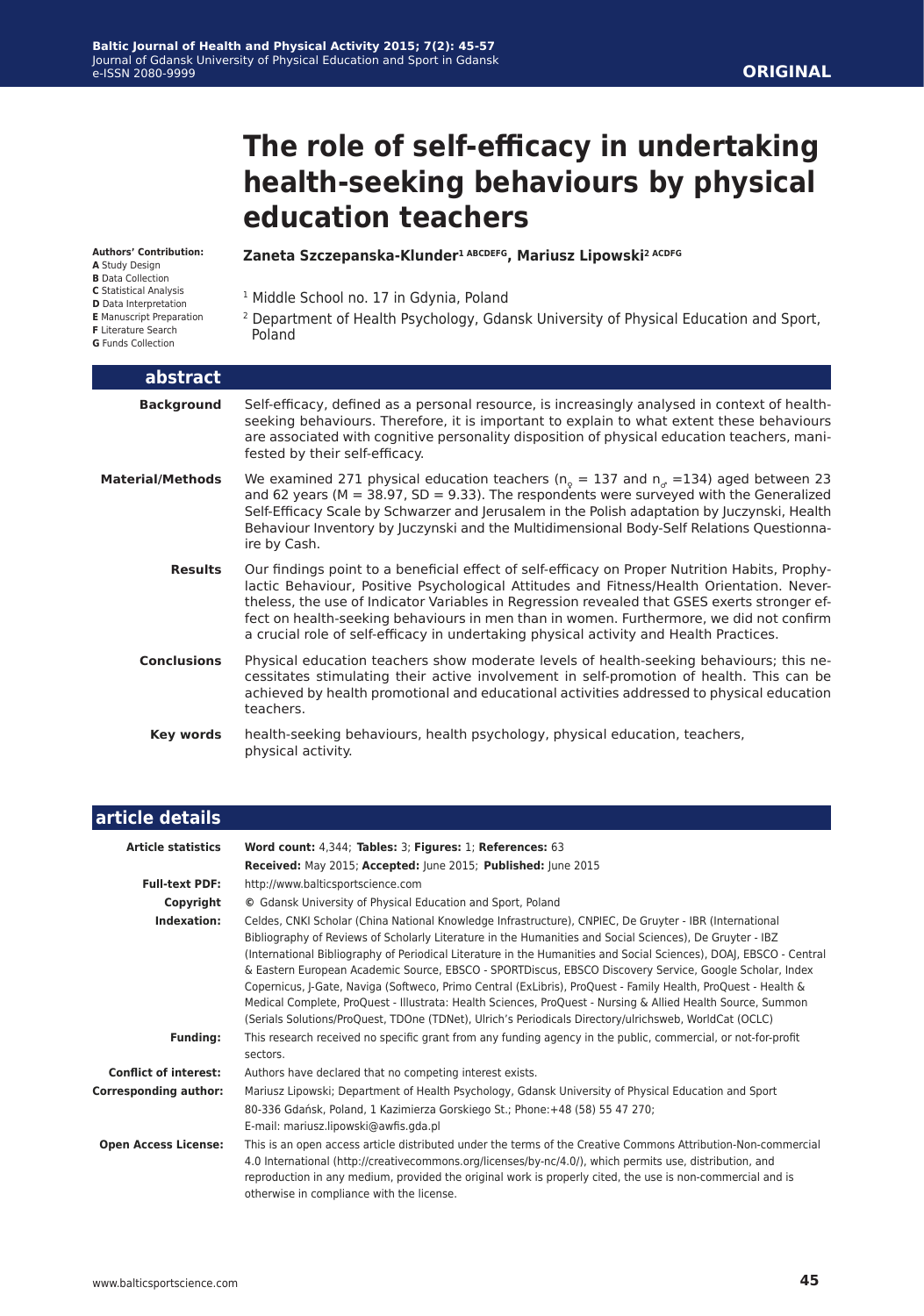# **The role of self-efficacy in undertaking health-seeking behaviours by physical education teachers**

#### **Authors' Contribution:**

- **A** Study Design
- **B** Data Collection **C** Statistical Analysis
- **D** Data Interpretation
- **E** Manuscript Preparation
- **F** Literature Search
- **G** Funds Collection

#### **Zaneta Szczepanska-Klunder1 ABCDEFG, Mariusz Lipowski2 ACDFG**

<sup>1</sup> Middle School no. 17 in Gdynia, Poland

2 Department of Health Psychology, Gdansk University of Physical Education and Sport, Poland

| abstract                |                                                                                                                                                                                                                                                                                                                                                                                                                                                                                  |
|-------------------------|----------------------------------------------------------------------------------------------------------------------------------------------------------------------------------------------------------------------------------------------------------------------------------------------------------------------------------------------------------------------------------------------------------------------------------------------------------------------------------|
| <b>Background</b>       | Self-efficacy, defined as a personal resource, is increasingly analysed in context of health-<br>seeking behaviours. Therefore, it is important to explain to what extent these behaviours<br>are associated with cognitive personality disposition of physical education teachers, mani-<br>fested by their self-efficacy.                                                                                                                                                      |
| <b>Material/Methods</b> | We examined 271 physical education teachers ( $n_{\circ} = 137$ and $n_{\circ} = 134$ ) aged between 23<br>and 62 years ( $M = 38.97$ , SD = 9.33). The respondents were surveyed with the Generalized<br>Self-Efficacy Scale by Schwarzer and Jerusalem in the Polish adaptation by Juczynski, Health<br>Behaviour Inventory by Juczynski and the Multidimensional Body-Self Relations Questionna-<br>ire by Cash.                                                              |
| <b>Results</b>          | Our findings point to a beneficial effect of self-efficacy on Proper Nutrition Habits, Prophy-<br>lactic Behaviour, Positive Psychological Attitudes and Fitness/Health Orientation. Never-<br>theless, the use of Indicator Variables in Regression revealed that GSES exerts stronger ef-<br>fect on health-seeking behaviours in men than in women. Furthermore, we did not confirm<br>a crucial role of self-efficacy in undertaking physical activity and Health Practices. |
| <b>Conclusions</b>      | Physical education teachers show moderate levels of health-seeking behaviours; this ne-<br>cessitates stimulating their active involvement in self-promotion of health. This can be<br>achieved by health promotional and educational activities addressed to physical education<br>teachers.                                                                                                                                                                                    |
| <b>Key words</b>        | health-seeking behaviours, health psychology, physical education, teachers,<br>physical activity.                                                                                                                                                                                                                                                                                                                                                                                |

| article details              |                                                                                                                                                                                                                                                                                                                                                                                                                                                                                                                                                                                                                                                                                                                                                                                                |
|------------------------------|------------------------------------------------------------------------------------------------------------------------------------------------------------------------------------------------------------------------------------------------------------------------------------------------------------------------------------------------------------------------------------------------------------------------------------------------------------------------------------------------------------------------------------------------------------------------------------------------------------------------------------------------------------------------------------------------------------------------------------------------------------------------------------------------|
| <b>Article statistics</b>    | Word count: 4,344; Tables: 3; Figures: 1; References: 63<br>Received: May 2015; Accepted: June 2015; Published: June 2015                                                                                                                                                                                                                                                                                                                                                                                                                                                                                                                                                                                                                                                                      |
| <b>Full-text PDF:</b>        | http://www.balticsportscience.com                                                                                                                                                                                                                                                                                                                                                                                                                                                                                                                                                                                                                                                                                                                                                              |
| Copyright                    | © Gdansk University of Physical Education and Sport, Poland                                                                                                                                                                                                                                                                                                                                                                                                                                                                                                                                                                                                                                                                                                                                    |
| Indexation:                  | Celdes, CNKI Scholar (China National Knowledge Infrastructure), CNPIEC, De Gruyter - IBR (International<br>Bibliography of Reviews of Scholarly Literature in the Humanities and Social Sciences), De Gruyter - IBZ<br>(International Bibliography of Periodical Literature in the Humanities and Social Sciences), DOAJ, EBSCO - Central<br>& Eastern European Academic Source, EBSCO - SPORTDiscus, EBSCO Discovery Service, Google Scholar, Index<br>Copernicus, J-Gate, Naviga (Softweco, Primo Central (ExLibris), ProQuest - Family Health, ProQuest - Health &<br>Medical Complete, ProQuest - Illustrata: Health Sciences, ProQuest - Nursing & Allied Health Source, Summon<br>(Serials Solutions/ProQuest, TDOne (TDNet), Ulrich's Periodicals Directory/ulrichsweb, WorldCat (OCLC) |
| <b>Funding:</b>              | This research received no specific grant from any funding agency in the public, commercial, or not-for-profit<br>sectors.                                                                                                                                                                                                                                                                                                                                                                                                                                                                                                                                                                                                                                                                      |
| <b>Conflict of interest:</b> | Authors have declared that no competing interest exists.                                                                                                                                                                                                                                                                                                                                                                                                                                                                                                                                                                                                                                                                                                                                       |
| <b>Corresponding author:</b> | Mariusz Lipowski; Department of Health Psychology, Gdansk University of Physical Education and Sport<br>80-336 Gdańsk, Poland, 1 Kazimierza Gorskiego St.; Phone: +48 (58) 55 47 270;<br>E-mail: mariusz.lipowski@awfis.gda.pl                                                                                                                                                                                                                                                                                                                                                                                                                                                                                                                                                                 |
| <b>Open Access License:</b>  | This is an open access article distributed under the terms of the Creative Commons Attribution-Non-commercial<br>4.0 International (http://creativecommons.org/licenses/by-nc/4.0/), which permits use, distribution, and<br>reproduction in any medium, provided the original work is properly cited, the use is non-commercial and is<br>otherwise in compliance with the license.                                                                                                                                                                                                                                                                                                                                                                                                           |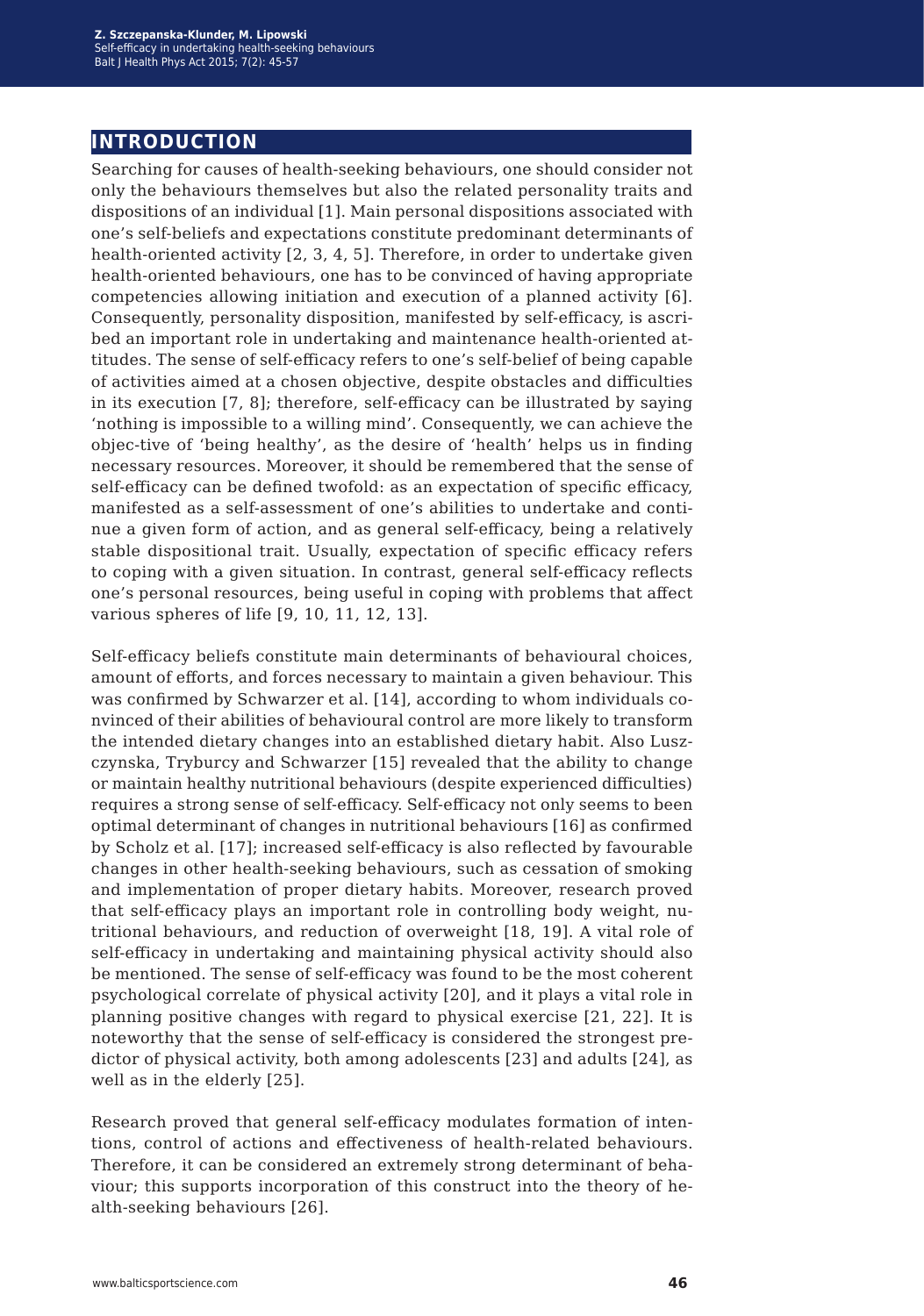## **introduction**

Searching for causes of health-seeking behaviours, one should consider not only the behaviours themselves but also the related personality traits and dispositions of an individual [1]. Main personal dispositions associated with one's self-beliefs and expectations constitute predominant determinants of health-oriented activity [2, 3, 4, 5]. Therefore, in order to undertake given health-oriented behaviours, one has to be convinced of having appropriate competencies allowing initiation and execution of a planned activity [6]. Consequently, personality disposition, manifested by self-efficacy, is ascribed an important role in undertaking and maintenance health-oriented attitudes. The sense of self-efficacy refers to one's self-belief of being capable of activities aimed at a chosen objective, despite obstacles and difficulties in its execution [7, 8]; therefore, self-efficacy can be illustrated by saying 'nothing is impossible to a willing mind'. Consequently, we can achieve the objec-tive of 'being healthy', as the desire of 'health' helps us in finding necessary resources. Moreover, it should be remembered that the sense of self-efficacy can be defined twofold: as an expectation of specific efficacy, manifested as a self-assessment of one's abilities to undertake and continue a given form of action, and as general self-efficacy, being a relatively stable dispositional trait. Usually, expectation of specific efficacy refers to coping with a given situation. In contrast, general self-efficacy reflects one's personal resources, being useful in coping with problems that affect various spheres of life [9, 10, 11, 12, 13].

Self-efficacy beliefs constitute main determinants of behavioural choices, amount of efforts, and forces necessary to maintain a given behaviour. This was confirmed by Schwarzer et al. [14], according to whom individuals convinced of their abilities of behavioural control are more likely to transform the intended dietary changes into an established dietary habit. Also Luszczynska, Tryburcy and Schwarzer [15] revealed that the ability to change or maintain healthy nutritional behaviours (despite experienced difficulties) requires a strong sense of self-efficacy. Self-efficacy not only seems to been optimal determinant of changes in nutritional behaviours [16] as confirmed by Scholz et al. [17]; increased self-efficacy is also reflected by favourable changes in other health-seeking behaviours, such as cessation of smoking and implementation of proper dietary habits. Moreover, research proved that self-efficacy plays an important role in controlling body weight, nutritional behaviours, and reduction of overweight [18, 19]. A vital role of self-efficacy in undertaking and maintaining physical activity should also be mentioned. The sense of self-efficacy was found to be the most coherent psychological correlate of physical activity [20], and it plays a vital role in planning positive changes with regard to physical exercise [21, 22]. It is noteworthy that the sense of self-efficacy is considered the strongest predictor of physical activity, both among adolescents [23] and adults [24], as well as in the elderly [25].

Research proved that general self-efficacy modulates formation of intentions, control of actions and effectiveness of health-related behaviours. Therefore, it can be considered an extremely strong determinant of behaviour; this supports incorporation of this construct into the theory of health-seeking behaviours [26].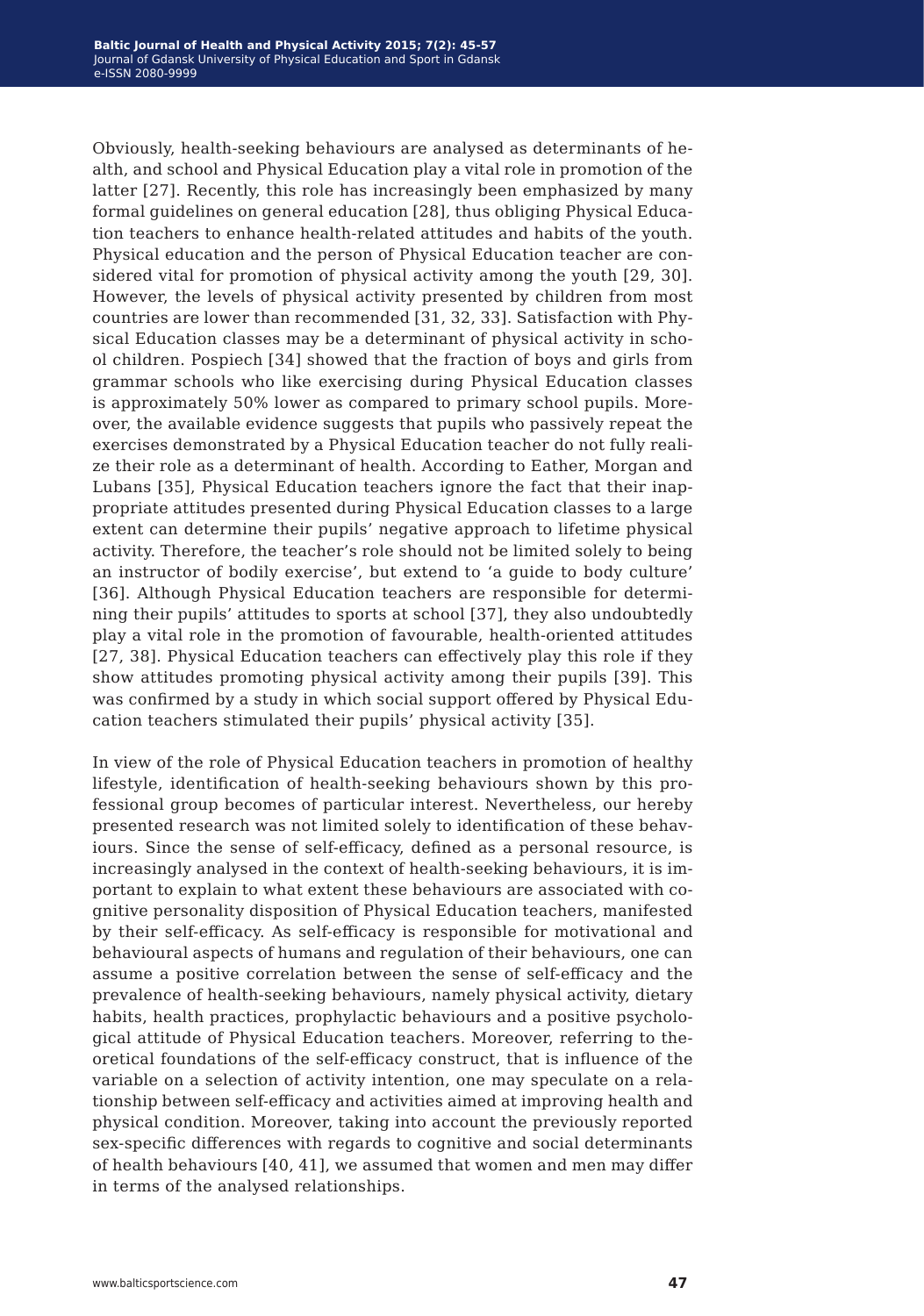Obviously, health-seeking behaviours are analysed as determinants of health, and school and Physical Education play a vital role in promotion of the latter [27]. Recently, this role has increasingly been emphasized by many formal guidelines on general education [28], thus obliging Physical Education teachers to enhance health-related attitudes and habits of the youth. Physical education and the person of Physical Education teacher are considered vital for promotion of physical activity among the youth [29, 30]. However, the levels of physical activity presented by children from most countries are lower than recommended [31, 32, 33]. Satisfaction with Physical Education classes may be a determinant of physical activity in school children. Pospiech [34] showed that the fraction of boys and girls from grammar schools who like exercising during Physical Education classes is approximately 50% lower as compared to primary school pupils. Moreover, the available evidence suggests that pupils who passively repeat the exercises demonstrated by a Physical Education teacher do not fully realize their role as a determinant of health. According to Eather, Morgan and Lubans [35], Physical Education teachers ignore the fact that their inappropriate attitudes presented during Physical Education classes to a large extent can determine their pupils' negative approach to lifetime physical activity. Therefore, the teacher's role should not be limited solely to being an instructor of bodily exercise', but extend to 'a guide to body culture' [36]. Although Physical Education teachers are responsible for determining their pupils' attitudes to sports at school [37], they also undoubtedly play a vital role in the promotion of favourable, health-oriented attitudes [27, 38]. Physical Education teachers can effectively play this role if they show attitudes promoting physical activity among their pupils [39]. This was confirmed by a study in which social support offered by Physical Education teachers stimulated their pupils' physical activity [35].

In view of the role of Physical Education teachers in promotion of healthy lifestyle, identification of health-seeking behaviours shown by this professional group becomes of particular interest. Nevertheless, our hereby presented research was not limited solely to identification of these behaviours. Since the sense of self-efficacy, defined as a personal resource, is increasingly analysed in the context of health-seeking behaviours, it is important to explain to what extent these behaviours are associated with cognitive personality disposition of Physical Education teachers, manifested by their self-efficacy. As self-efficacy is responsible for motivational and behavioural aspects of humans and regulation of their behaviours, one can assume a positive correlation between the sense of self-efficacy and the prevalence of health-seeking behaviours, namely physical activity, dietary habits, health practices, prophylactic behaviours and a positive psychological attitude of Physical Education teachers. Moreover, referring to theoretical foundations of the self-efficacy construct, that is influence of the variable on a selection of activity intention, one may speculate on a relationship between self-efficacy and activities aimed at improving health and physical condition. Moreover, taking into account the previously reported sex-specific differences with regards to cognitive and social determinants of health behaviours [40, 41], we assumed that women and men may differ in terms of the analysed relationships.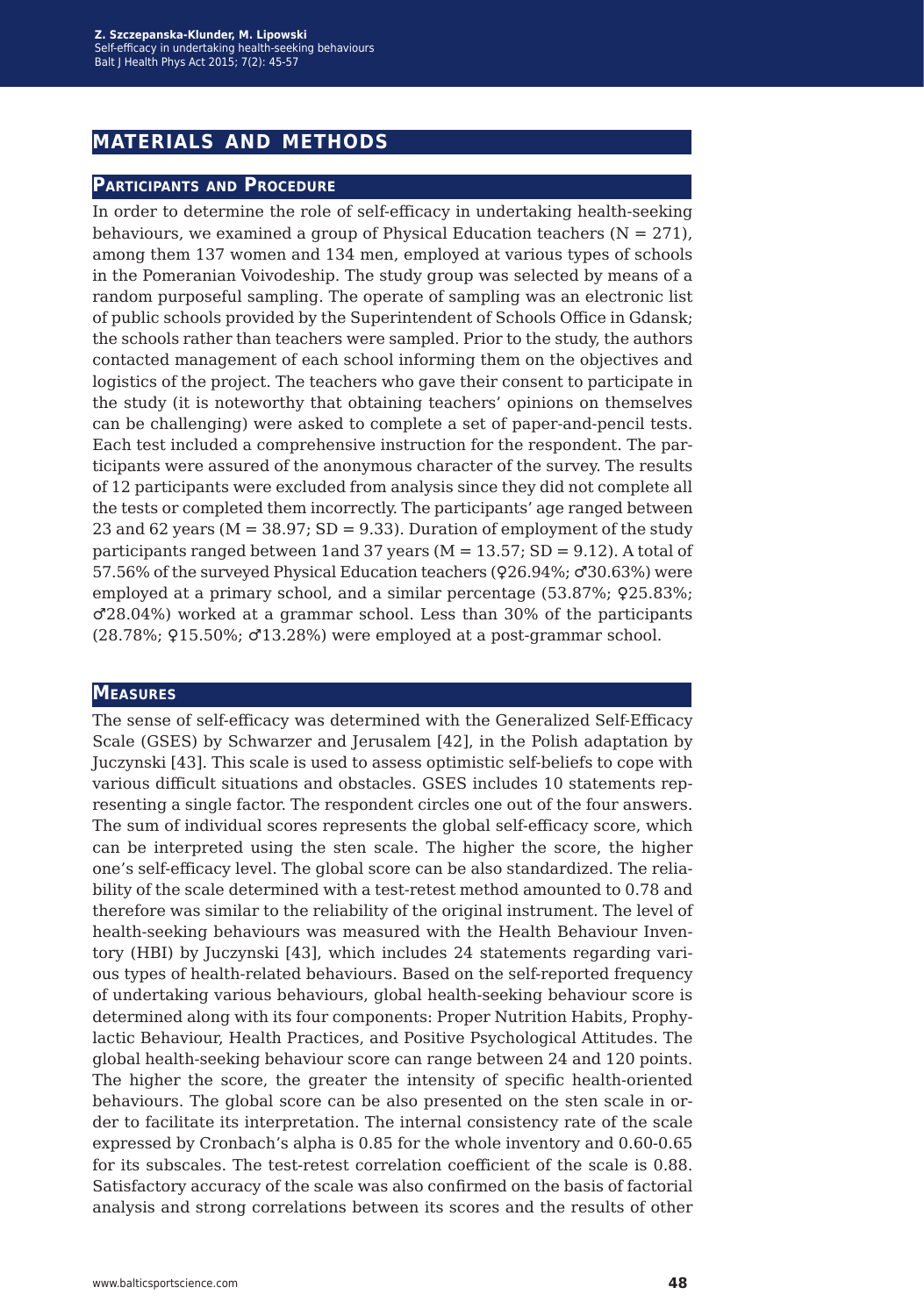## **materials and methods**

#### **Participants and Procedure**

In order to determine the role of self-efficacy in undertaking health-seeking behaviours, we examined a group of Physical Education teachers  $(N = 271)$ , among them 137 women and 134 men, employed at various types of schools in the Pomeranian Voivodeship. The study group was selected by means of a random purposeful sampling. The operate of sampling was an electronic list of public schools provided by the Superintendent of Schools Office in Gdansk; the schools rather than teachers were sampled. Prior to the study, the authors contacted management of each school informing them on the objectives and logistics of the project. The teachers who gave their consent to participate in the study (it is noteworthy that obtaining teachers' opinions on themselves can be challenging) were asked to complete a set of paper-and-pencil tests. Each test included a comprehensive instruction for the respondent. The participants were assured of the anonymous character of the survey. The results of 12 participants were excluded from analysis since they did not complete all the tests or completed them incorrectly. The participants' age ranged between 23 and 62 years ( $M = 38.97$ ; SD = 9.33). Duration of employment of the study participants ranged between 1and 37 years ( $M = 13.57$ ; SD = 9.12). A total of 57.56% of the surveyed Physical Education teachers (♀26.94%; ♂30.63%) were employed at a primary school, and a similar percentage (53.87%; 925.83%; ♂28.04%) worked at a grammar school. Less than 30% of the participants (28.78%; ♀15.50%; ♂13.28%) were employed at a post-grammar school.

#### **Measures**

The sense of self-efficacy was determined with the Generalized Self-Efficacy Scale (GSES) by Schwarzer and Jerusalem [42], in the Polish adaptation by Juczynski [43]. This scale is used to assess optimistic self-beliefs to cope with various difficult situations and obstacles. GSES includes 10 statements representing a single factor. The respondent circles one out of the four answers. The sum of individual scores represents the global self-efficacy score, which can be interpreted using the sten scale. The higher the score, the higher one's self-efficacy level. The global score can be also standardized. The reliability of the scale determined with a test-retest method amounted to 0.78 and therefore was similar to the reliability of the original instrument. The level of health-seeking behaviours was measured with the Health Behaviour Inventory (HBI) by Juczynski [43], which includes 24 statements regarding various types of health-related behaviours. Based on the self-reported frequency of undertaking various behaviours, global health-seeking behaviour score is determined along with its four components: Proper Nutrition Habits, Prophylactic Behaviour, Health Practices, and Positive Psychological Attitudes. The global health-seeking behaviour score can range between 24 and 120 points. The higher the score, the greater the intensity of specific health-oriented behaviours. The global score can be also presented on the sten scale in order to facilitate its interpretation. The internal consistency rate of the scale expressed by Cronbach's alpha is 0.85 for the whole inventory and 0.60-0.65 for its subscales. The test-retest correlation coefficient of the scale is 0.88. Satisfactory accuracy of the scale was also confirmed on the basis of factorial analysis and strong correlations between its scores and the results of other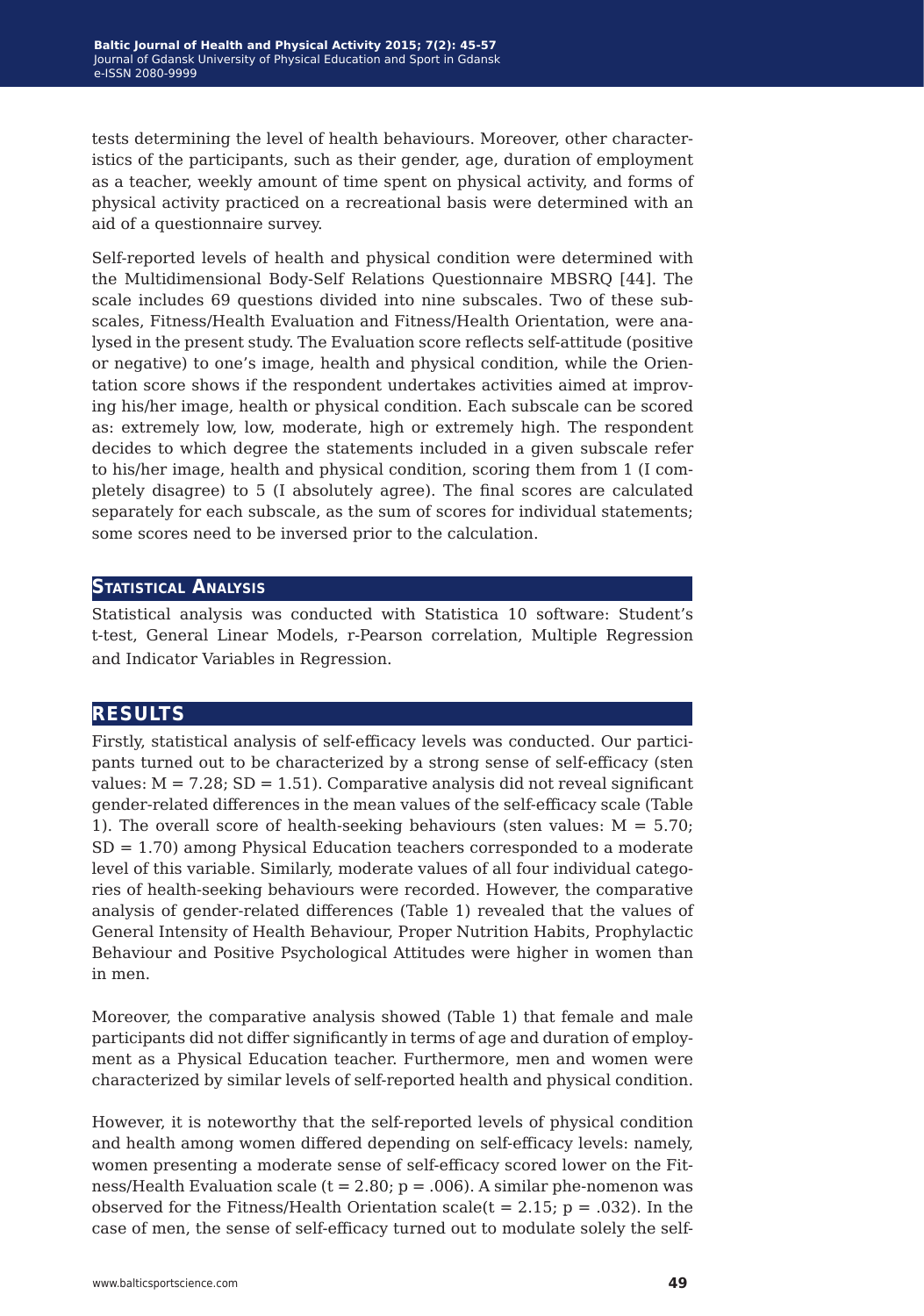tests determining the level of health behaviours. Moreover, other characteristics of the participants, such as their gender, age, duration of employment as a teacher, weekly amount of time spent on physical activity, and forms of physical activity practiced on a recreational basis were determined with an aid of a questionnaire survey.

Self-reported levels of health and physical condition were determined with the Multidimensional Body-Self Relations Questionnaire MBSRQ [44]. The scale includes 69 questions divided into nine subscales. Two of these subscales, Fitness/Health Evaluation and Fitness/Health Orientation, were analysed in the present study. The Evaluation score reflects self-attitude (positive or negative) to one's image, health and physical condition, while the Orientation score shows if the respondent undertakes activities aimed at improving his/her image, health or physical condition. Each subscale can be scored as: extremely low, low, moderate, high or extremely high. The respondent decides to which degree the statements included in a given subscale refer to his/her image, health and physical condition, scoring them from 1 (I completely disagree) to 5 (I absolutely agree). The final scores are calculated separately for each subscale, as the sum of scores for individual statements; some scores need to be inversed prior to the calculation.

#### **Statistical Analysis**

Statistical analysis was conducted with Statistica 10 software: Student's t-test, General Linear Models, r-Pearson correlation, Multiple Regression and Indicator Variables in Regression.

### **results**

Firstly, statistical analysis of self-efficacy levels was conducted. Our participants turned out to be characterized by a strong sense of self-efficacy (sten values:  $M = 7.28$ ;  $SD = 1.51$ ). Comparative analysis did not reveal significant gender-related differences in the mean values of the self-efficacy scale (Table 1). The overall score of health-seeking behaviours (sten values:  $M = 5.70$ ;  $SD = 1.70$  among Physical Education teachers corresponded to a moderate level of this variable. Similarly, moderate values of all four individual categories of health-seeking behaviours were recorded. However, the comparative analysis of gender-related differences (Table 1) revealed that the values of General Intensity of Health Behaviour, Proper Nutrition Habits, Prophylactic Behaviour and Positive Psychological Attitudes were higher in women than in men.

Moreover, the comparative analysis showed (Table 1) that female and male participants did not differ significantly in terms of age and duration of employment as a Physical Education teacher. Furthermore, men and women were characterized by similar levels of self-reported health and physical condition.

However, it is noteworthy that the self-reported levels of physical condition and health among women differed depending on self-efficacy levels: namely, women presenting a moderate sense of self-efficacy scored lower on the Fitness/Health Evaluation scale ( $t = 2.80$ ;  $p = .006$ ). A similar phe-nomenon was observed for the Fitness/Health Orientation scale  $(t = 2.15; p = .032)$ . In the case of men, the sense of self-efficacy turned out to modulate solely the self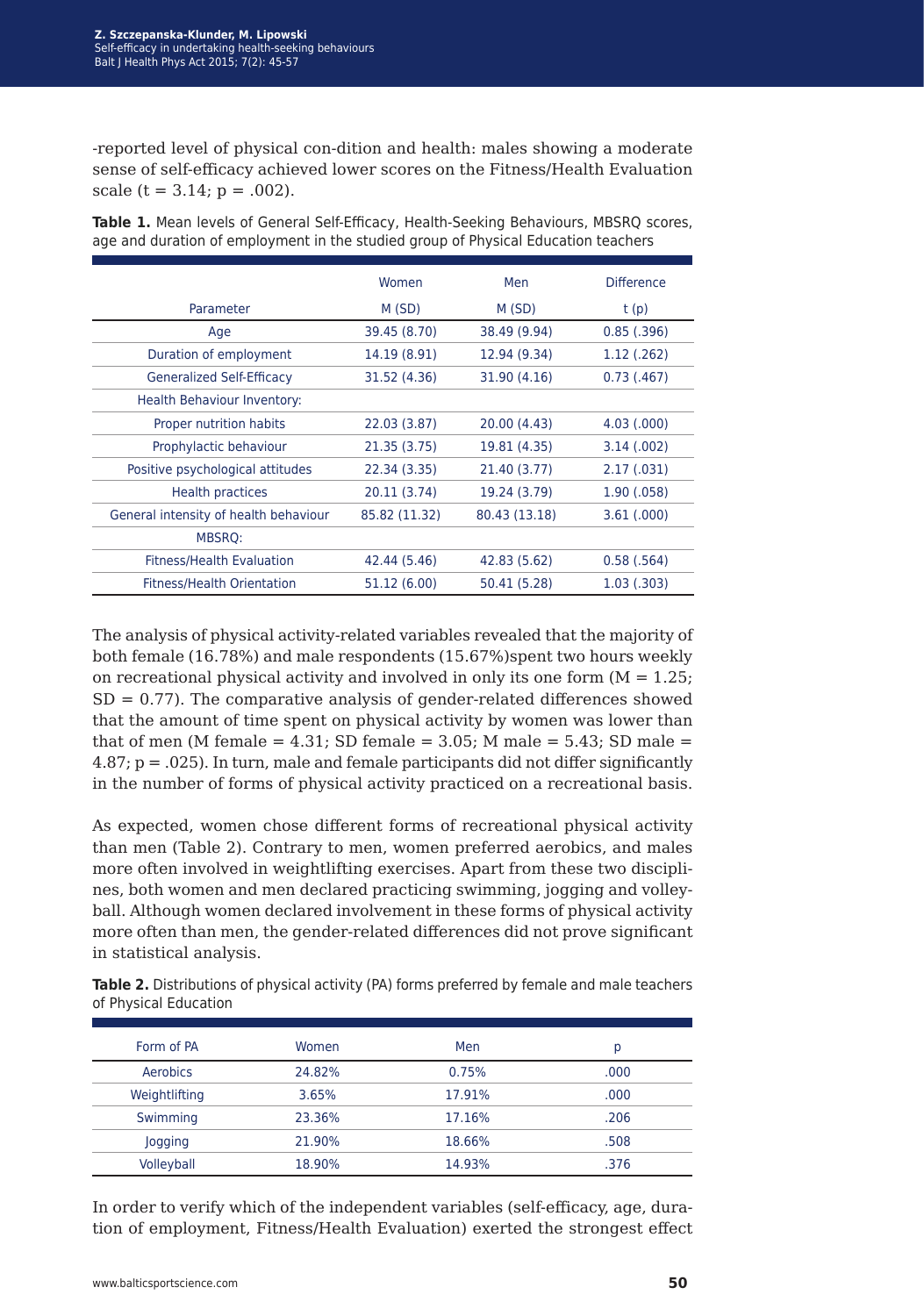-reported level of physical con-dition and health: males showing a moderate sense of self-efficacy achieved lower scores on the Fitness/Health Evaluation scale  $(t = 3.14; p = .002)$ .

|                                       | Women         | Men           | <b>Difference</b> |  |
|---------------------------------------|---------------|---------------|-------------------|--|
| Parameter                             | M (SD)        | M (SD)        | t(p)              |  |
| Age                                   | 39.45 (8.70)  | 38.49 (9.94)  | 0.85(.396)        |  |
| Duration of employment                | 14.19 (8.91)  | 12.94 (9.34)  | 1.12(.262)        |  |
| <b>Generalized Self-Efficacy</b>      | 31.52 (4.36)  | 31.90 (4.16)  | 0.73(0.467)       |  |
| Health Behaviour Inventory:           |               |               |                   |  |
| Proper nutrition habits               | 22.03 (3.87)  | 20.00 (4.43)  | 4.03(.000)        |  |
| Prophylactic behaviour                | 21.35 (3.75)  | 19.81 (4.35)  | 3.14(.002)        |  |
| Positive psychological attitudes      | 22.34 (3.35)  | 21.40 (3.77)  | 2.17(.031)        |  |
| <b>Health practices</b>               | 20.11 (3.74)  | 19.24 (3.79)  | 1.90(.058)        |  |
| General intensity of health behaviour | 85.82 (11.32) | 80.43 (13.18) | 3.61(.000)        |  |
| <b>MBSRO:</b>                         |               |               |                   |  |
| <b>Fitness/Health Evaluation</b>      | 42.44 (5.46)  | 42.83 (5.62)  | 0.58(.564)        |  |
| <b>Fitness/Health Orientation</b>     | 51.12 (6.00)  | 50.41 (5.28)  | 1.03(.303)        |  |

**Table 1.** Mean levels of General Self-Efficacy, Health-Seeking Behaviours, MBSRQ scores, age and duration of employment in the studied group of Physical Education teachers

The analysis of physical activity-related variables revealed that the majority of both female (16.78%) and male respondents (15.67%)spent two hours weekly on recreational physical activity and involved in only its one form  $(M = 1.25)$ ;  $SD = 0.77$ ). The comparative analysis of gender-related differences showed that the amount of time spent on physical activity by women was lower than that of men (M female  $= 4.31$ ; SD female  $= 3.05$ ; M male  $= 5.43$ ; SD male  $=$ 4.87; p = .025). In turn, male and female participants did not differ significantly in the number of forms of physical activity practiced on a recreational basis.

As expected, women chose different forms of recreational physical activity than men (Table 2). Contrary to men, women preferred aerobics, and males more often involved in weightlifting exercises. Apart from these two disciplines, both women and men declared practicing swimming, jogging and volleyball. Although women declared involvement in these forms of physical activity more often than men, the gender-related differences did not prove significant in statistical analysis.

**Table 2.** Distributions of physical activity (PA) forms preferred by female and male teachers of Physical Education

| Form of PA    | Women  | Men    | р    |
|---------------|--------|--------|------|
| Aerobics      | 24.82% | 0.75%  | .000 |
| Weightlifting | 3.65%  | 17.91% | .000 |
| Swimming      | 23.36% | 17.16% | .206 |
| Jogging       | 21.90% | 18.66% | .508 |
| Volleyball    | 18.90% | 14.93% | .376 |

In order to verify which of the independent variables (self-efficacy, age, duration of employment, Fitness/Health Evaluation) exerted the strongest effect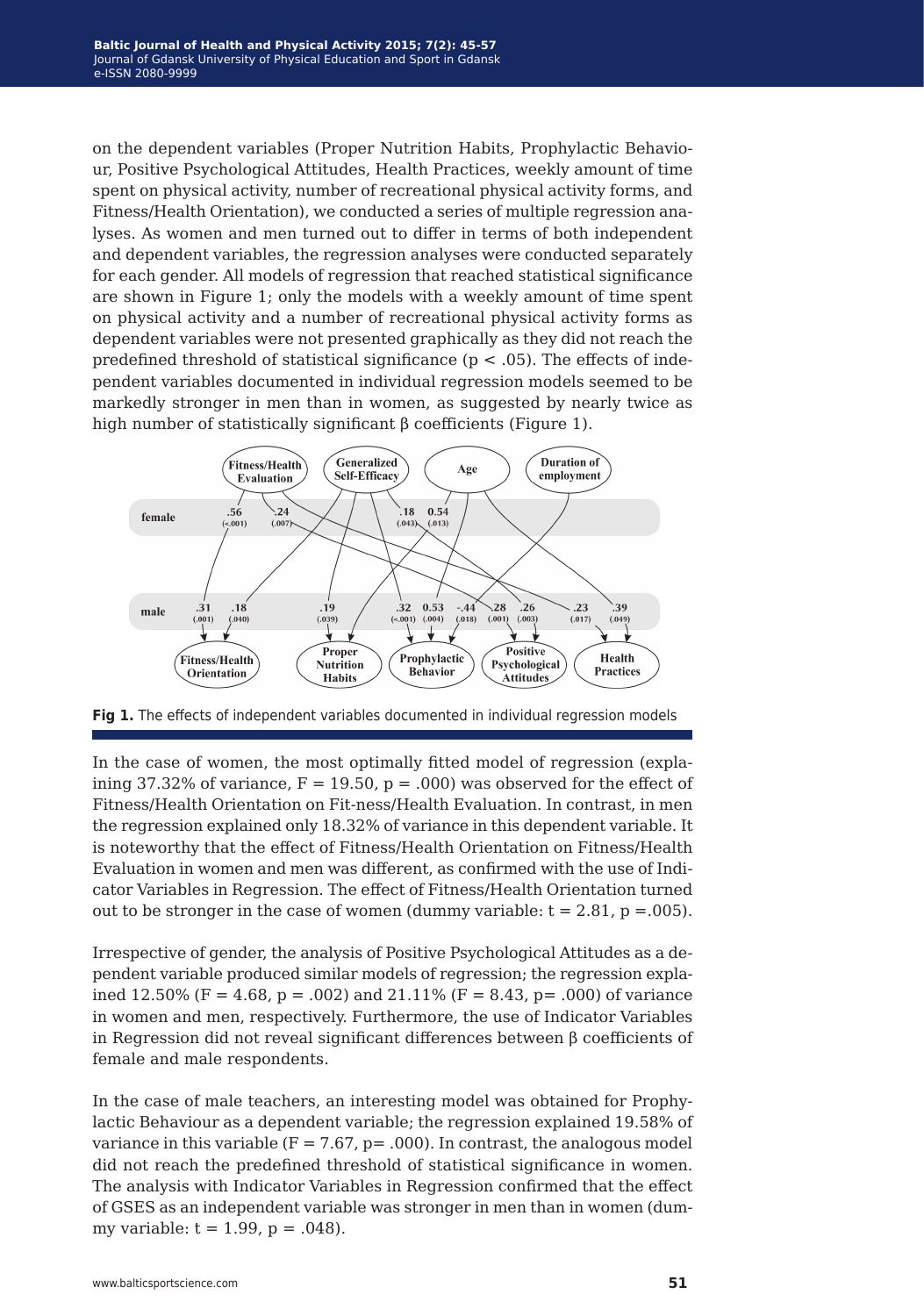on the dependent variables (Proper Nutrition Habits, Prophylactic Behaviour, Positive Psychological Attitudes, Health Practices, weekly amount of time spent on physical activity, number of recreational physical activity forms, and Fitness/Health Orientation), we conducted a series of multiple regression analyses. As women and men turned out to differ in terms of both independent and dependent variables, the regression analyses were conducted separately for each gender. All models of regression that reached statistical significance are shown in Figure 1; only the models with a weekly amount of time spent on physical activity and a number of recreational physical activity forms as dependent variables were not presented graphically as they did not reach the predefined threshold of statistical significance ( $p < .05$ ). The effects of independent variables documented in individual regression models seemed to be markedly stronger in men than in women, as suggested by nearly twice as high number of statistically significant β coefficients (Figure 1).



**Fig 1.** The effects of independent variables documented in individual regression models

In the case of women, the most optimally fitted model of regression (explaining 37.32% of variance,  $F = 19.50$ ,  $p = .000$ ) was observed for the effect of Fitness/Health Orientation on Fit-ness/Health Evaluation. In contrast, in men the regression explained only 18.32% of variance in this dependent variable. It is noteworthy that the effect of Fitness/Health Orientation on Fitness/Health Evaluation in women and men was different, as confirmed with the use of Indicator Variables in Regression. The effect of Fitness/Health Orientation turned out to be stronger in the case of women (dummy variable:  $t = 2.81$ ,  $p = .005$ ).

Irrespective of gender, the analysis of Positive Psychological Attitudes as a dependent variable produced similar models of regression; the regression explained 12.50% (F = 4.68, p = .002) and 21.11% (F = 8.43, p = .000) of variance in women and men, respectively. Furthermore, the use of Indicator Variables in Regression did not reveal significant differences between β coefficients of female and male respondents.

In the case of male teachers, an interesting model was obtained for Prophylactic Behaviour as a dependent variable; the regression explained 19.58% of variance in this variable  $(F = 7.67, p = .000)$ . In contrast, the analogous model did not reach the predefined threshold of statistical significance in women. The analysis with Indicator Variables in Regression confirmed that the effect of GSES as an independent variable was stronger in men than in women (dummy variable:  $t = 1.99$ ,  $p = .048$ ).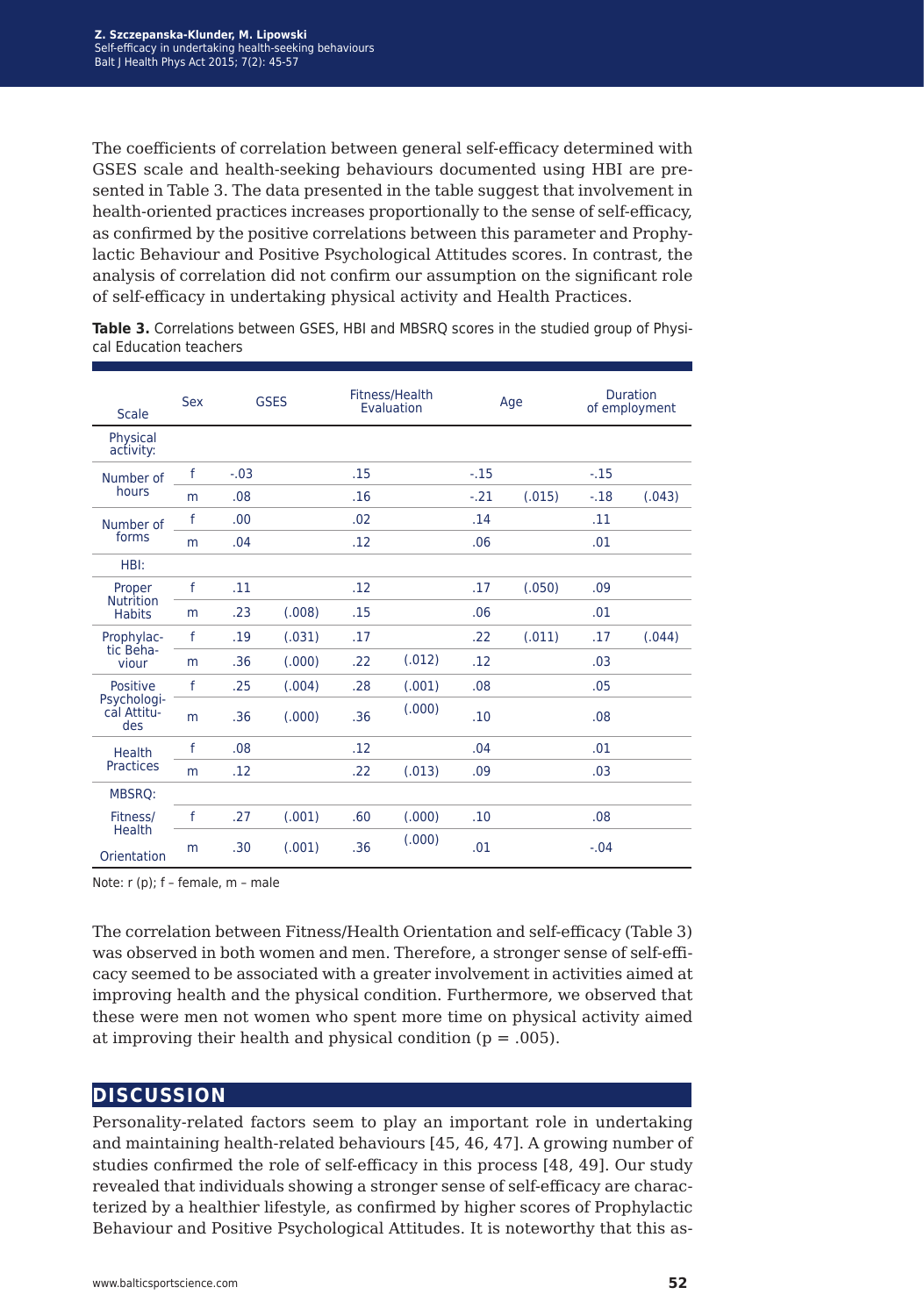The coefficients of correlation between general self-efficacy determined with GSES scale and health-seeking behaviours documented using HBI are presented in Table 3. The data presented in the table suggest that involvement in health-oriented practices increases proportionally to the sense of self-efficacy, as confirmed by the positive correlations between this parameter and Prophylactic Behaviour and Positive Psychological Attitudes scores. In contrast, the analysis of correlation did not confirm our assumption on the significant role of self-efficacy in undertaking physical activity and Health Practices.

**Table 3.** Correlations between GSES, HBI and MBSRQ scores in the studied group of Physical Education teachers

| <b>Scale</b>                                | <b>Sex</b>   | <b>GSES</b> |        | Fitness/Health<br>Evaluation |        | Age    |        | <b>Duration</b><br>of employment |        |
|---------------------------------------------|--------------|-------------|--------|------------------------------|--------|--------|--------|----------------------------------|--------|
| Physical<br>activity:                       |              |             |        |                              |        |        |        |                                  |        |
| Number of                                   | $\mathsf{f}$ | $-.03$      |        | .15                          |        | $-.15$ |        | $-.15$                           |        |
| hours                                       | m            | .08         |        | .16                          |        | $-.21$ | (.015) | $-.18$                           | (.043) |
| Number of                                   | f            | .00         |        | .02                          |        | .14    |        | .11                              |        |
| forms                                       | m            | .04         |        | .12                          |        | .06    |        | .01                              |        |
| HBI:                                        |              |             |        |                              |        |        |        |                                  |        |
| Proper<br><b>Nutrition</b><br><b>Habits</b> | f            | .11         |        | .12                          |        | .17    | (.050) | .09                              |        |
|                                             | m            | .23         | (.008) | .15                          |        | .06    |        | .01                              |        |
| Prophylac-<br>tic Beha-<br>viour            | f            | .19         | (.031) | .17                          |        | .22    | (.011) | .17                              | (.044) |
|                                             | m            | .36         | (.000) | .22                          | (.012) | .12    |        | .03                              |        |
| Positive                                    | f            | .25         | (.004) | .28                          | (.001) | .08    |        | .05                              |        |
| Psychologi-<br>cal Attitu-<br>des           | m            | .36         | (.000) | .36                          | (.000) | .10    |        | .08                              |        |
| Health<br><b>Practices</b>                  | f            | .08         |        | .12                          |        | .04    |        | .01                              |        |
|                                             | m            | .12         |        | .22                          | (.013) | .09    |        | .03                              |        |
| MBSRQ:                                      |              |             |        |                              |        |        |        |                                  |        |
| Fitness/                                    | f            | .27         | (.001) | .60                          | (.000) | .10    |        | .08                              |        |
| <b>Health</b><br>Orientation                | m            | .30         | (.001) | .36                          | (.000) | .01    |        | $-.04$                           |        |

Note: r (p); f – female, m – male

The correlation between Fitness/Health Orientation and self-efficacy (Table 3) was observed in both women and men. Therefore, a stronger sense of self-efficacy seemed to be associated with a greater involvement in activities aimed at improving health and the physical condition. Furthermore, we observed that these were men not women who spent more time on physical activity aimed at improving their health and physical condition ( $p = .005$ ).

## **discussion**

Personality-related factors seem to play an important role in undertaking and maintaining health-related behaviours [45, 46, 47]. A growing number of studies confirmed the role of self-efficacy in this process [48, 49]. Our study revealed that individuals showing a stronger sense of self-efficacy are characterized by a healthier lifestyle, as confirmed by higher scores of Prophylactic Behaviour and Positive Psychological Attitudes. It is noteworthy that this as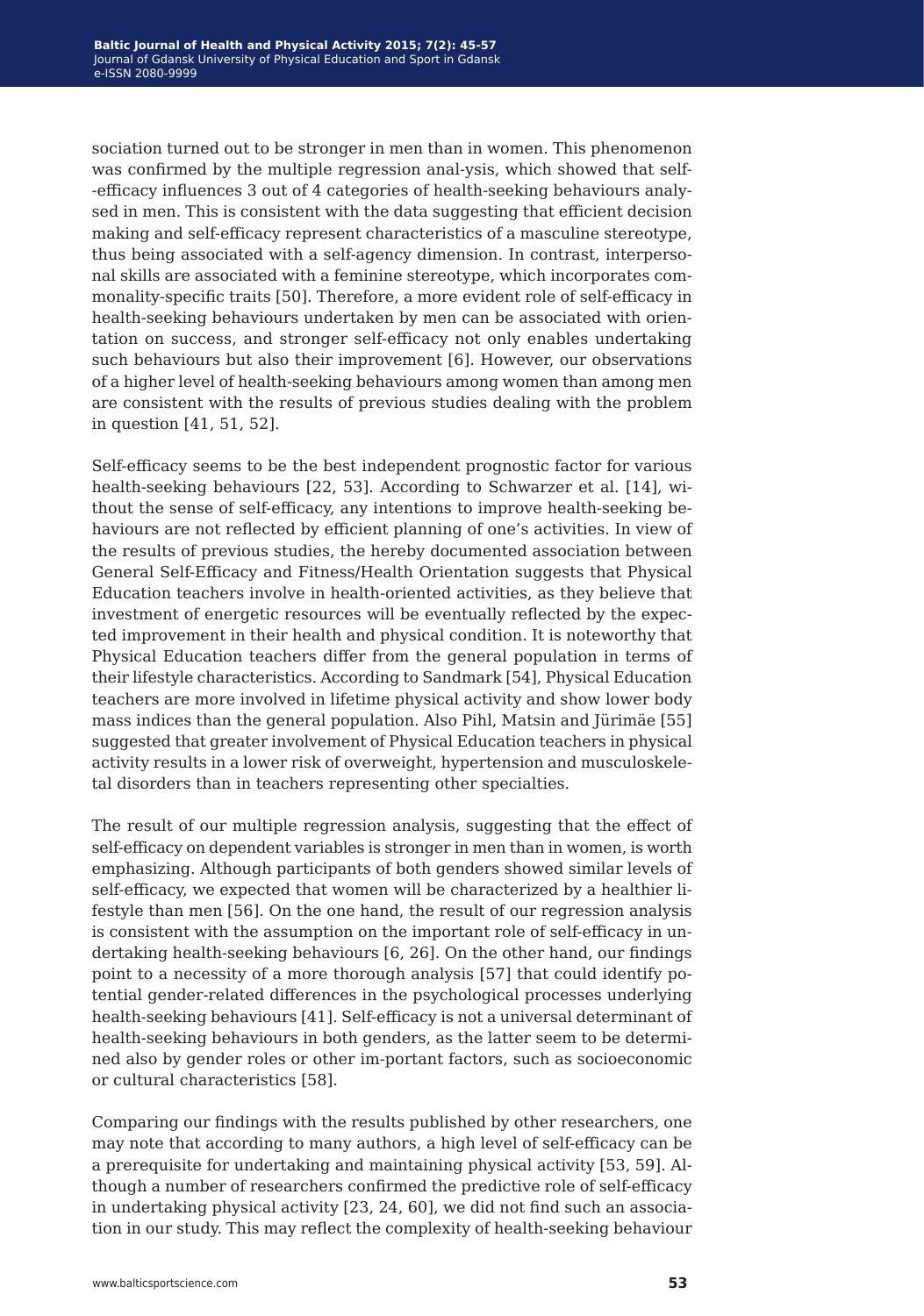sociation turned out to be stronger in men than in women. This phenomenon was confirmed by the multiple regression anal-ysis, which showed that self- -efficacy influences 3 out of 4 categories of health-seeking behaviours analysed in men. This is consistent with the data suggesting that efficient decision making and self-efficacy represent characteristics of a masculine stereotype, thus being associated with a self-agency dimension. In contrast, interpersonal skills are associated with a feminine stereotype, which incorporates commonality-specific traits [50]. Therefore, a more evident role of self-efficacy in health-seeking behaviours undertaken by men can be associated with orientation on success, and stronger self-efficacy not only enables undertaking such behaviours but also their improvement [6]. However, our observations of a higher level of health-seeking behaviours among women than among men are consistent with the results of previous studies dealing with the problem in question [41, 51, 52].

Self-efficacy seems to be the best independent prognostic factor for various health-seeking behaviours [22, 53]. According to Schwarzer et al. [14], without the sense of self-efficacy, any intentions to improve health-seeking behaviours are not reflected by efficient planning of one's activities. In view of the results of previous studies, the hereby documented association between General Self-Efficacy and Fitness/Health Orientation suggests that Physical Education teachers involve in health-oriented activities, as they believe that investment of energetic resources will be eventually reflected by the expected improvement in their health and physical condition. It is noteworthy that Physical Education teachers differ from the general population in terms of their lifestyle characteristics. According to Sandmark [54], Physical Education teachers are more involved in lifetime physical activity and show lower body mass indices than the general population. Also Pihl, Matsin and Jürimäe [55] suggested that greater involvement of Physical Education teachers in physical activity results in a lower risk of overweight, hypertension and musculoskeletal disorders than in teachers representing other specialties.

The result of our multiple regression analysis, suggesting that the effect of self-efficacy on dependent variables is stronger in men than in women, is worth emphasizing. Although participants of both genders showed similar levels of self-efficacy, we expected that women will be characterized by a healthier lifestyle than men [56]. On the one hand, the result of our regression analysis is consistent with the assumption on the important role of self-efficacy in undertaking health-seeking behaviours [6, 26]. On the other hand, our findings point to a necessity of a more thorough analysis [57] that could identify potential gender-related differences in the psychological processes underlying health-seeking behaviours [41]. Self-efficacy is not a universal determinant of health-seeking behaviours in both genders, as the latter seem to be determined also by gender roles or other im-portant factors, such as socioeconomic or cultural characteristics [58].

Comparing our findings with the results published by other researchers, one may note that according to many authors, a high level of self-efficacy can be a prerequisite for undertaking and maintaining physical activity [53, 59]. Although a number of researchers confirmed the predictive role of self-efficacy in undertaking physical activity [23, 24, 60], we did not find such an association in our study. This may reflect the complexity of health-seeking behaviour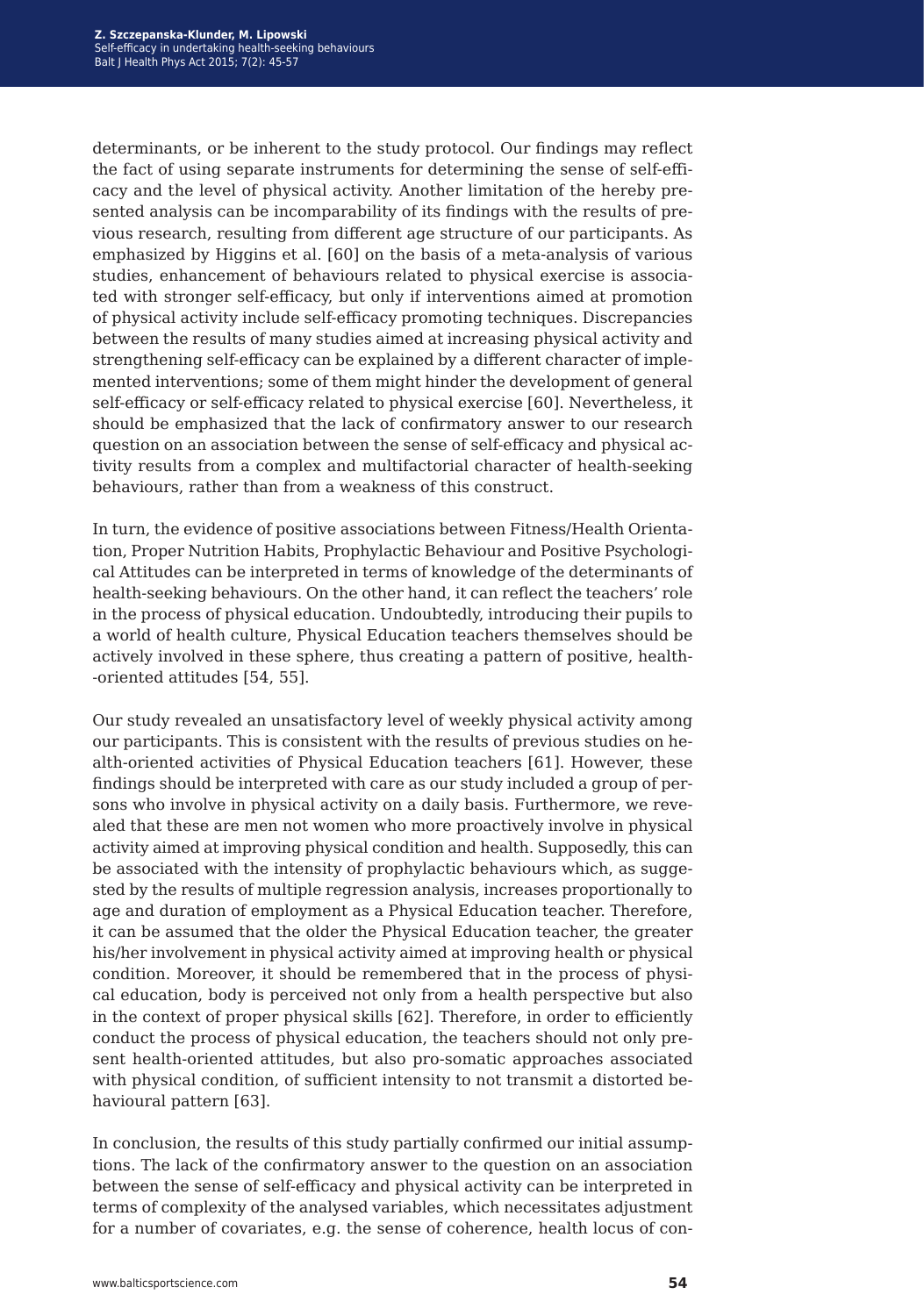determinants, or be inherent to the study protocol. Our findings may reflect the fact of using separate instruments for determining the sense of self-efficacy and the level of physical activity. Another limitation of the hereby presented analysis can be incomparability of its findings with the results of previous research, resulting from different age structure of our participants. As emphasized by Higgins et al. [60] on the basis of a meta-analysis of various studies, enhancement of behaviours related to physical exercise is associated with stronger self-efficacy, but only if interventions aimed at promotion of physical activity include self-efficacy promoting techniques. Discrepancies between the results of many studies aimed at increasing physical activity and strengthening self-efficacy can be explained by a different character of implemented interventions; some of them might hinder the development of general self-efficacy or self-efficacy related to physical exercise [60]. Nevertheless, it should be emphasized that the lack of confirmatory answer to our research question on an association between the sense of self-efficacy and physical activity results from a complex and multifactorial character of health-seeking behaviours, rather than from a weakness of this construct.

In turn, the evidence of positive associations between Fitness/Health Orientation, Proper Nutrition Habits, Prophylactic Behaviour and Positive Psychological Attitudes can be interpreted in terms of knowledge of the determinants of health-seeking behaviours. On the other hand, it can reflect the teachers' role in the process of physical education. Undoubtedly, introducing their pupils to a world of health culture, Physical Education teachers themselves should be actively involved in these sphere, thus creating a pattern of positive, health- -oriented attitudes [54, 55].

Our study revealed an unsatisfactory level of weekly physical activity among our participants. This is consistent with the results of previous studies on health-oriented activities of Physical Education teachers [61]. However, these findings should be interpreted with care as our study included a group of persons who involve in physical activity on a daily basis. Furthermore, we revealed that these are men not women who more proactively involve in physical activity aimed at improving physical condition and health. Supposedly, this can be associated with the intensity of prophylactic behaviours which, as suggested by the results of multiple regression analysis, increases proportionally to age and duration of employment as a Physical Education teacher. Therefore, it can be assumed that the older the Physical Education teacher, the greater his/her involvement in physical activity aimed at improving health or physical condition. Moreover, it should be remembered that in the process of physical education, body is perceived not only from a health perspective but also in the context of proper physical skills [62]. Therefore, in order to efficiently conduct the process of physical education, the teachers should not only present health-oriented attitudes, but also pro-somatic approaches associated with physical condition, of sufficient intensity to not transmit a distorted behavioural pattern [63].

In conclusion, the results of this study partially confirmed our initial assumptions. The lack of the confirmatory answer to the question on an association between the sense of self-efficacy and physical activity can be interpreted in terms of complexity of the analysed variables, which necessitates adjustment for a number of covariates, e.g. the sense of coherence, health locus of con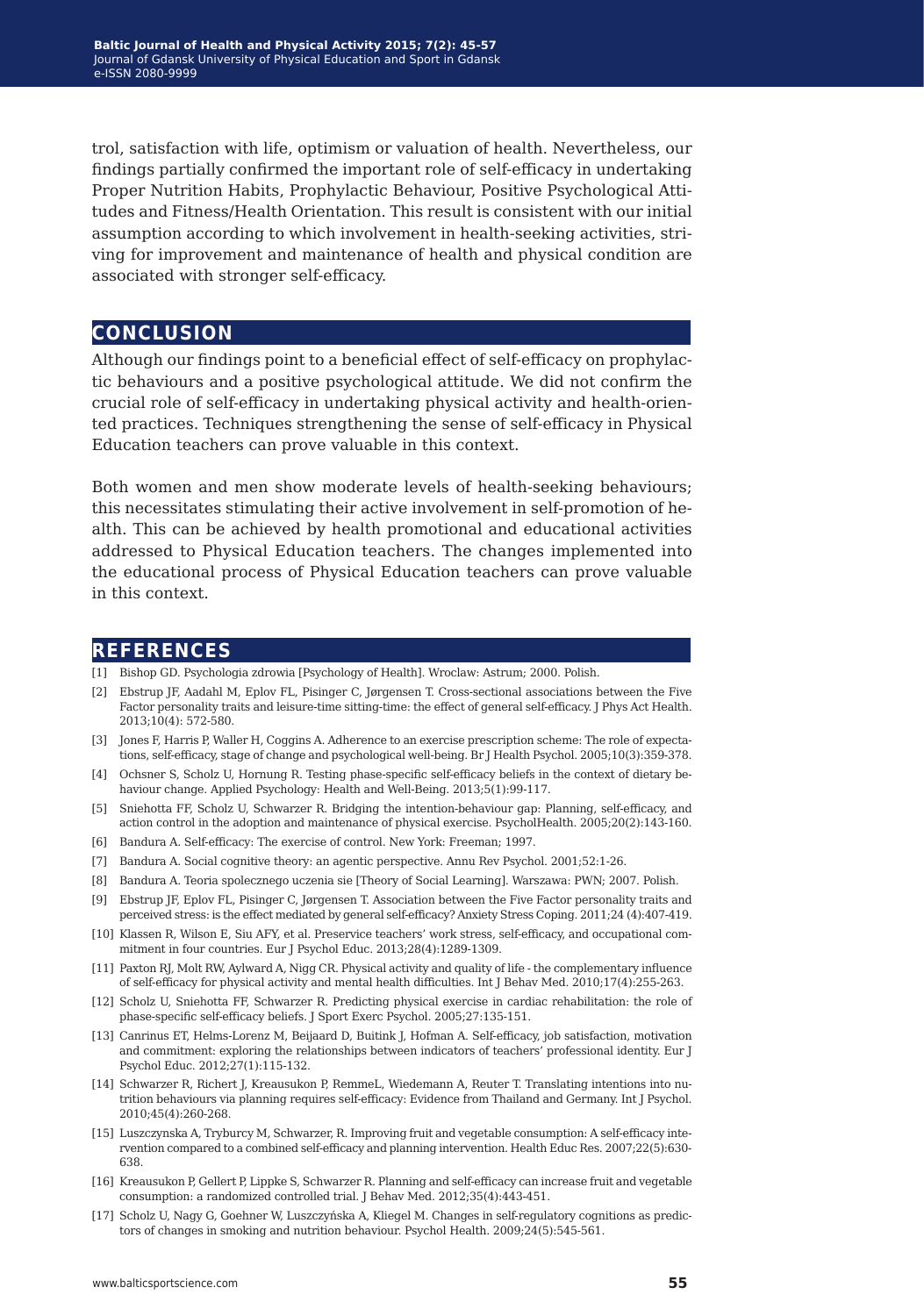trol, satisfaction with life, optimism or valuation of health. Nevertheless, our findings partially confirmed the important role of self-efficacy in undertaking Proper Nutrition Habits, Prophylactic Behaviour, Positive Psychological Attitudes and Fitness/Health Orientation. This result is consistent with our initial assumption according to which involvement in health-seeking activities, striving for improvement and maintenance of health and physical condition are associated with stronger self-efficacy.

## **conclusion**

Although our findings point to a beneficial effect of self-efficacy on prophylactic behaviours and a positive psychological attitude. We did not confirm the crucial role of self-efficacy in undertaking physical activity and health-oriented practices. Techniques strengthening the sense of self-efficacy in Physical Education teachers can prove valuable in this context.

Both women and men show moderate levels of health-seeking behaviours; this necessitates stimulating their active involvement in self-promotion of health. This can be achieved by health promotional and educational activities addressed to Physical Education teachers. The changes implemented into the educational process of Physical Education teachers can prove valuable in this context.

## **references**

- [1] Bishop GD. Psychologia zdrowia [Psychology of Health]. Wroclaw: Astrum; 2000. Polish.
- [2] Ebstrup JF, Aadahl M, Eplov FL, Pisinger C, Jørgensen T. Cross-sectional associations between the Five Factor personality traits and leisure-time sitting-time: the effect of general self-efficacy. J Phys Act Health. 2013;10(4): 572-580.
- [3] Jones F, Harris P, Waller H, Coggins A. Adherence to an exercise prescription scheme: The role of expectations, self-efficacy, stage of change and psychological well-being. Br J Health Psychol. 2005;10(3):359-378.
- [4] Ochsner S, Scholz U, Hornung R. Testing phase-specific self-efficacy beliefs in the context of dietary behaviour change. Applied Psychology: Health and Well-Being. 2013;5(1):99-117.
- [5] Sniehotta FF, Scholz U, Schwarzer R. Bridging the intention-behaviour gap: Planning, self-efficacy, and action control in the adoption and maintenance of physical exercise. PsycholHealth. 2005;20(2):143-160.
- [6] Bandura A. Self-efficacy: The exercise of control. New York: Freeman; 1997.
- [7] Bandura A. Social cognitive theory: an agentic perspective. Annu Rev Psychol. 2001;52:1-26.
- [8] Bandura A. Teoria spolecznego uczenia sie [Theory of Social Learning]. Warszawa: PWN; 2007. Polish.
- [9] Ebstrup JF, Eplov FL, Pisinger C, Jørgensen T. Association between the Five Factor personality traits and perceived stress: is the effect mediated by general self-efficacy? Anxiety Stress Coping. 2011;24 (4):407-419.
- [10] Klassen R, Wilson E, Siu AFY, et al. Preservice teachers' work stress, self-efficacy, and occupational commitment in four countries. Eur J Psychol Educ. 2013;28(4):1289-1309.
- [11] Paxton RJ, Molt RW, Aylward A, Nigg CR. Physical activity and quality of life the complementary influence of self-efficacy for physical activity and mental health difficulties. Int J Behav Med. 2010;17(4):255-263.
- [12] Scholz U, Sniehotta FF, Schwarzer R. Predicting physical exercise in cardiac rehabilitation: the role of phase-specific self-efficacy beliefs. J Sport Exerc Psychol. 2005;27:135-151.
- [13] Canrinus ET, Helms-Lorenz M, Beijaard D, Buitink J, Hofman A. Self-efficacy, job satisfaction, motivation and commitment: exploring the relationships between indicators of teachers' professional identity. Eur J Psychol Educ. 2012;27(1):115-132.
- [14] Schwarzer R, Richert J, Kreausukon P, RemmeL, Wiedemann A, Reuter T. Translating intentions into nutrition behaviours via planning requires self-efficacy: Evidence from Thailand and Germany. Int J Psychol. 2010;45(4):260-268.
- [15] Luszczynska A, Tryburcy M, Schwarzer, R. Improving fruit and vegetable consumption: A self-efficacy intervention compared to a combined self-efficacy and planning intervention. Health Educ Res. 2007;22(5):630- 638.
- [16] Kreausukon P, Gellert P, Lippke S, Schwarzer R. Planning and self-efficacy can increase fruit and vegetable consumption: a randomized controlled trial. J Behav Med. 2012;35(4):443-451.
- [17] Scholz U, Nagy G, Goehner W, Luszczyńska A, Kliegel M. Changes in self-regulatory cognitions as predictors of changes in smoking and nutrition behaviour. Psychol Health. 2009;24(5):545-561.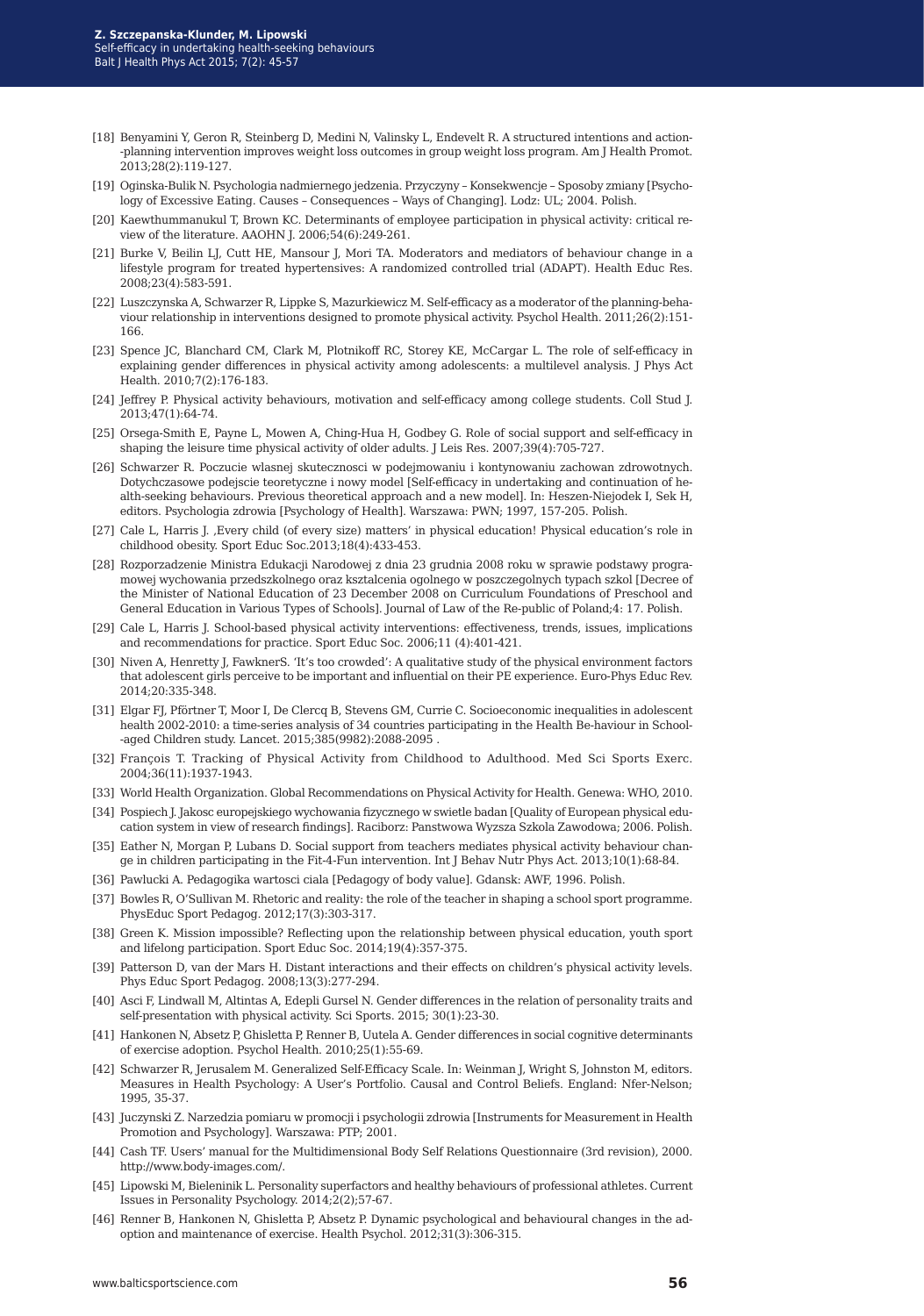- [18] Benyamini Y, Geron R, Steinberg D, Medini N, Valinsky L, Endevelt R. A structured intentions and action- -planning intervention improves weight loss outcomes in group weight loss program. Am J Health Promot. 2013;28(2):119-127.
- [19] Oginska-Bulik N. Psychologia nadmiernego jedzenia. Przyczyny Konsekwencje Sposoby zmiany [Psychology of Excessive Eating. Causes – Consequences – Ways of Changing]. Lodz: UL; 2004. Polish.
- [20] Kaewthummanukul T, Brown KC. Determinants of employee participation in physical activity: critical review of the literature. AAOHN J. 2006;54(6):249-261.
- [21] Burke V, Beilin LJ, Cutt HE, Mansour J, Mori TA. Moderators and mediators of behaviour change in a lifestyle program for treated hypertensives: A randomized controlled trial (ADAPT). Health Educ Res. 2008;23(4):583-591.
- [22] Luszczynska A, Schwarzer R, Lippke S, Mazurkiewicz M. Self-efficacy as a moderator of the planning-behaviour relationship in interventions designed to promote physical activity. Psychol Health. 2011;26(2):151- 166.
- [23] Spence JC, Blanchard CM, Clark M, Plotnikoff RC, Storey KE, McCargar L. The role of self-efficacy in explaining gender differences in physical activity among adolescents: a multilevel analysis. J Phys Act Health. 2010;7(2):176-183.
- [24] Jeffrey P. Physical activity behaviours, motivation and self-efficacy among college students. Coll Stud J. 2013;47(1):64-74.
- [25] Orsega-Smith E, Payne L, Mowen A, Ching-Hua H, Godbey G. Role of social support and self-efficacy in shaping the leisure time physical activity of older adults. J Leis Res. 2007;39(4):705-727.
- [26] Schwarzer R. Poczucie wlasnej skutecznosci w podejmowaniu i kontynowaniu zachowan zdrowotnych. Dotychczasowe podejscie teoretyczne i nowy model [Self-efficacy in undertaking and continuation of health-seeking behaviours. Previous theoretical approach and a new model]. In: Heszen-Niejodek I, Sek H, editors. Psychologia zdrowia [Psychology of Health]. Warszawa: PWN; 1997, 157-205. Polish.
- [27] Cale L, Harris J. Every child (of every size) matters' in physical education! Physical education's role in childhood obesity. Sport Educ Soc.2013;18(4):433-453.
- [28] Rozporzadzenie Ministra Edukacji Narodowej z dnia 23 grudnia 2008 roku w sprawie podstawy programowej wychowania przedszkolnego oraz ksztalcenia ogolnego w poszczegolnych typach szkol [Decree of the Minister of National Education of 23 December 2008 on Curriculum Foundations of Preschool and General Education in Various Types of Schools]. Journal of Law of the Re-public of Poland;4: 17. Polish.
- [29] Cale L, Harris J. School-based physical activity interventions: effectiveness, trends, issues, implications and recommendations for practice. Sport Educ Soc. 2006;11 (4):401-421.
- [30] Niven A, Henretty J, FawknerS. 'It's too crowded': A qualitative study of the physical environment factors that adolescent girls perceive to be important and influential on their PE experience. Euro-Phys Educ Rev. 2014;20:335-348.
- [31] Elgar FJ, Pförtner T, Moor I, De Clercq B, Stevens GM, Currie C. Socioeconomic inequalities in adolescent health 2002-2010: a time-series analysis of 34 countries participating in the Health Be-haviour in School- -aged Children study. Lancet. 2015;385(9982):2088-2095 .
- [32] François T. Tracking of Physical Activity from Childhood to Adulthood. Med Sci Sports Exerc. 2004;36(11):1937-1943.
- [33] World Health Organization. Global Recommendations on Physical Activity for Health. Genewa: WHO, 2010.
- [34] Pospiech J. Jakosc europejskiego wychowania fizycznego w swietle badan [Quality of European physical education system in view of research findings]. Raciborz: Panstwowa Wyzsza Szkola Zawodowa; 2006. Polish.
- [35] Eather N, Morgan P, Lubans D. Social support from teachers mediates physical activity behaviour change in children participating in the Fit-4-Fun intervention. Int J Behav Nutr Phys Act. 2013;10(1):68-84.
- [36] Pawlucki A. Pedagogika wartosci ciala [Pedagogy of body value]. Gdansk: AWF, 1996. Polish.
- [37] Bowles R, O'Sullivan M. Rhetoric and reality: the role of the teacher in shaping a school sport programme. PhysEduc Sport Pedagog. 2012;17(3):303-317.
- [38] Green K. Mission impossible? Reflecting upon the relationship between physical education, youth sport and lifelong participation. Sport Educ Soc. 2014;19(4):357-375.
- [39] Patterson D, van der Mars H. Distant interactions and their effects on children's physical activity levels. Phys Educ Sport Pedagog. 2008;13(3):277-294.
- [40] Asci F, Lindwall M, Altintas A, Edepli Gursel N. Gender differences in the relation of personality traits and self-presentation with physical activity. Sci Sports. 2015; 30(1):23-30.
- [41] Hankonen N, Absetz P, Ghisletta P, Renner B, Uutela A. Gender differences in social cognitive determinants of exercise adoption. Psychol Health. 2010;25(1):55-69.
- [42] Schwarzer R, Jerusalem M. Generalized Self-Efficacy Scale. In: Weinman J, Wright S, Johnston M, editors. Measures in Health Psychology: A User's Portfolio. Causal and Control Beliefs. England: Nfer-Nelson; 1995, 35-37.
- [43] Juczynski Z. Narzedzia pomiaru w promocji i psychologii zdrowia [Instruments for Measurement in Health Promotion and Psychology]. Warszawa: PTP; 2001.
- [44] Cash TF. Users' manual for the Multidimensional Body Self Relations Questionnaire (3rd revision), 2000. http://www.body-images.com/.
- [45] Lipowski M, Bieleninik L. Personality superfactors and healthy behaviours of professional athletes. Current Issues in Personality Psychology. 2014;2(2);57-67.
- [46] Renner B, Hankonen N, Ghisletta P, Absetz P. Dynamic psychological and behavioural changes in the adoption and maintenance of exercise. Health Psychol. 2012;31(3):306-315.